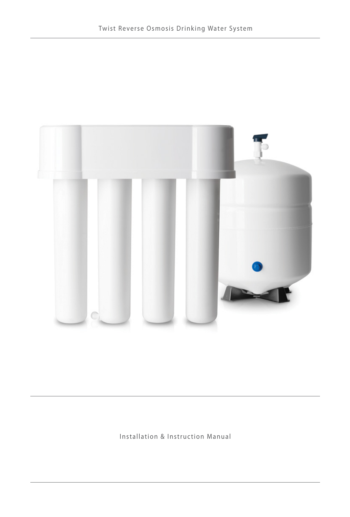

Installation & Instruction Manual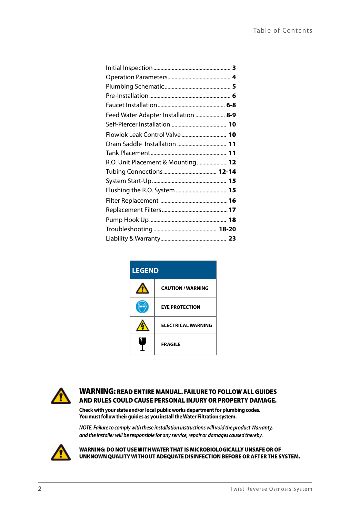| Feed Water Adapter Installation  8-9 |  |
|--------------------------------------|--|
|                                      |  |
| Flowlok Leak Control Valve 10        |  |
|                                      |  |
|                                      |  |
| R.O. Unit Placement & Mounting 12    |  |
|                                      |  |
|                                      |  |
|                                      |  |
|                                      |  |
|                                      |  |
|                                      |  |
|                                      |  |
|                                      |  |

| <b>LEGEND</b> |                           |  |
|---------------|---------------------------|--|
|               | <b>CAUTION / WARNING</b>  |  |
|               | <b>EYE PROTECTION</b>     |  |
|               | <b>ELECTRICAL WARNING</b> |  |
|               | <b>FRAGILE</b>            |  |



## WARNING: READ ENTIRE MANUAL. FAILURE TO FOLLOW ALL GUIDES AND RULES COULD CAUSE PERSONAL INJURY OR PROPERTY DAMAGE.

**Check with your state and/or local public works department for plumbing codes. You must follow their guides as you install the Water Filtration system.**

*NOTE: Failure to comply with these installation instructions will void the product Warranty, and the installer will be responsible for any service, repair or damages caused thereby.*



WARNING: DO NOT USE WITH WATER THAT IS MICROBIOLOGICALLY UNSAFE OR OF UNKNOWN QUALITY WITHOUT ADEQUATE DISINFECTION BEFORE OR AFTER THE SYSTEM.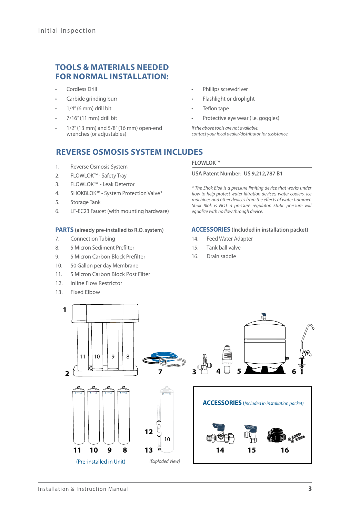## **TOOLS & MATERIALS NEEDED FOR NORMAL INSTALLATION:**

- Cordless Drill
- Carbide grinding burr
- $1/4$ " (6 mm) drill bit
- 7/16" (11 mm) drill bit
- 1/2" (13 mm) and 5/8" (16 mm) open-end wrenches (or adjustables)

## **REVERSE OSMOSIS SYSTEM INCLUDES**

- 1. Reverse Osmosis System
- 2. FLOWLOK*™* Safety Tray
- 3. FLOWLOK*™* Leak Detertor
- 4. SHOKBLOK*™* System Protection Valve\*
- 5. Storage Tank
- 6. LF-EC23 Faucet (with mounting hardware)

#### **PARTS (already pre-installed to R.O. system)**

- 7. Connection Tubing
- 8. 5 Micron Sediment Prefilter
- 9. 5 Micron Carbon Block Prefilter
- 10. 50 Gallon per day Membrane
- 11. 5 Micron Carbon Block Post Filter
- 12. Inline Flow Restrictor
- 13. Fixed Elbow
- Phillips screwdriver
- Flashlight or droplight
- Teflon tape
- Protective eye wear (i.e. goggles)

*If the above tools are not available, contact your local dealer/distributor for assistance.*

#### **FLOWLOK***™*

#### **USA Patent Number: US 9,212,787 B1**

*\* The Shok Blok is a pressure limiting device that works under flow to help protect water filtration devices, water coolers, ice machines and other devices from the effects of water hammer. Shok Blok is NOT a pressure regulator. Static pressure will equalize with no flow through device.*

#### **ACCESSORIES (Included in installation packet)**

- 14. Feed Water Adapter
- 15. Tank ball valve
- 16. Drain saddle

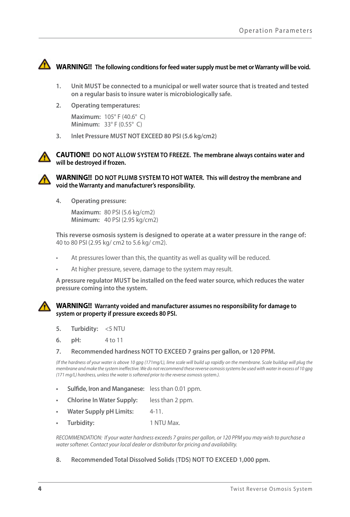

# **WARNING!!** The following conditions for feed water supply must be met or Warranty will be void.

- **1. Unit MUST be connected to a municipal or well water source that is treated and tested on a regular basis to insure water is microbiologically safe.**
- **2. Operating temperatures:**

**Maximum:** 105° F (40.6° C) **Minimum:** 33° F (0.55° C)

**3. Inlet Pressure MUST NOT EXCEED 80 PSI (5.6 kg/cm2)**





**WARNING!! DO NOT PLUMB SYSTEM TO HOT WATER. This will destroy the membrane and void the Warranty and manufacturer's responsibility.** 

**4. Operating pressure:**

**Maximum:** 80 PSI (5.6 kg/cm2) **Minimum:** 40 PSI (2.95 kg/cm2)

**This reverse osmosis system is designed to operate at a water pressure in the range of:**  40 to 80 PSI (2.95 kg/ cm2 to 5.6 kg/ cm2).

- At pressures lower than this, the quantity as well as quality will be reduced.
- At higher pressure, severe, damage to the system may result.

**A pressure regulator MUST be installed on the feed water source, which reduces the water pressure coming into the system.**

#### **WARNING!! Warranty voided and manufacturer assumes no responsibility for damage to system or property if pressure exceeds 80 PSI.**

- **5. Turbidity:** <5 NTU
- **6. pH:** 4 to 11
- **7. Recommended hardness NOT TO EXCEED 7 grains per gallon, or 120 PPM.**

*(If the hardness of your water is above 10 gpg (171mg/L), lime scale will build up rapidly on the membrane. Scale buildup will plug the membrane and make the system ineffective. We do not recommend these reverse osmosis systems be used with water in excess of 10 gpg (171 mg/L) hardness, unless the water is softened prior to the reverse osmosis system.).*

- **• Sulfide, Iron and Manganese:** less than 0.01 ppm.
- **• Chlorine In Water Supply:** less than 2 ppm.
- **Water Supply pH Limits:** 4-11.
- **• Turbidity:** 1 NTU Max.

*RECOMMENDATION: If your water hardness exceeds 7 grains per gallon, or 120 PPM you may wish to purchase a water softener. Contact your local dealer or distributor for pricing and availability.*

#### **8. Recommended Total Dissolved Solids (TDS) NOT TO EXCEED 1,000 ppm.**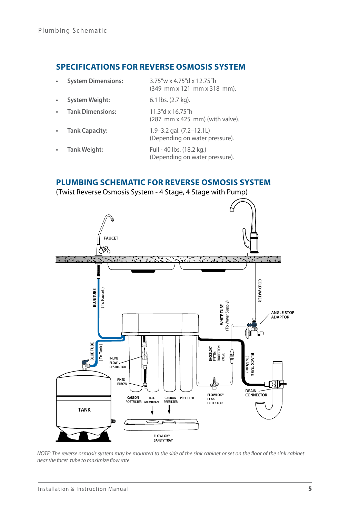## **SPECIFICATIONS FOR REVERSE OSMOSIS SYSTEM**

| <b>System Dimensions:</b> | 3.75"w x 4.75"d x 12.75"h<br>(349 mm x 121 mm x 318 mm).           |
|---------------------------|--------------------------------------------------------------------|
| <b>System Weight:</b>     | 6.1 lbs. (2.7 kg).                                                 |
| <b>Tank Dimensions:</b>   | 11.3"d x 16.75"h<br>$(287$ mm $x$ 425 mm) (with valve).            |
| <b>Tank Capacity:</b>     | $1.9 - 3.2$ gal. $(7.2 - 12.11)$<br>(Depending on water pressure). |
| Tank Weight:              | Full - 40 lbs. (18.2 kg.)<br>(Depending on water pressure).        |

## **PLUMBING SCHEMATIC FOR REVERSE OSMOSIS SYSTEM**

(Twist Reverse Osmosis System - 4 Stage, 4 Stage with Pump)



*NOTE: The reverse osmosis system may be mounted to the side of the sink cabinet or set on the floor of the sink cabinet near the facet tube to maximize flow rate*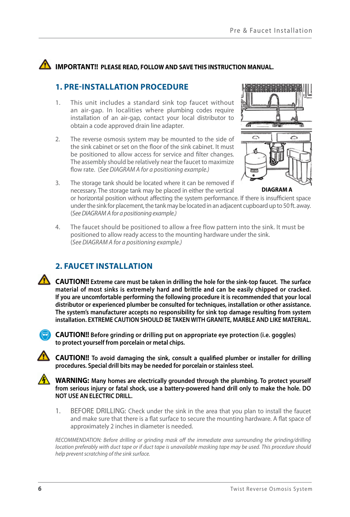# **IMPORTANT!!** PLEASE READ, FOLLOW AND SAVE THIS INSTRUCTION MANUAL.

# **1. PRE-INSTALLATION PROCEDURE**

- 1. This unit includes a standard sink top faucet without an air-gap. In localities where plumbing codes require installation of an air-gap, contact your local distributor to obtain a code approved drain line adapter.
- 2. The reverse osmosis system may be mounted to the side of the sink cabinet or set on the floor of the sink cabinet. It must be positioned to allow access for service and filter changes. The assembly should be relatively near the faucet to maximize flow rate. (*See DIAGRAM A for a positioning example.)*



- **DIAGRAM A**
- 3. The storage tank should be located where it can be removed if necessary. The storage tank may be placed in either the vertical

or horizontal position without affecting the system performance. If there is insufficient space under the sink for placement, the tank may be located in an adjacent cupboard up to 50 ft. away. (*See DIAGRAM A for a positioning example.)*

4. The faucet should be positioned to allow a free flow pattern into the sink. It must be positioned to allow ready access to the mounting hardware under the sink. (*See DIAGRAM A for a positioning example.)*

# **2. FAUCET INSTALLATION**

**CAUTION!! Extreme care must be taken in drilling the hole for the sink-top faucet. The surface material of most sinks is extremely hard and brittle and can be easily chipped or cracked. If you are uncomfortable performing the following procedure it is recommended that your local distributor or experienced plumber be consulted for techniques, installation or other assistance. The system's manufacturer accepts no responsibility for sink top damage resulting from system installation. EXTREME CAUTION SHOULD BE TAKEN WITH GRANITE, MARBLE AND LIKE MATERIAL.**



**CAUTION!! Before grinding or drilling put on appropriate eye protection (i.e. goggles) to protect yourself from porcelain or metal chips.**

**CAUTION!! To avoid damaging the sink, consult a qualified plumber or installer for drilling procedures. Special drill bits may be needed for porcelain or stainless steel.**

**WARNING: Many homes are electrically grounded through the plumbing. To protect yourself from serious injury or fatal shock, use a battery-powered hand drill only to make the hole. DO NOT USE AN ELECTRIC DRILL.**

1. BEFORE DRILLING: Check under the sink in the area that you plan to install the faucet and make sure that there is a flat surface to secure the mounting hardware. A flat space of approximately 2 inches in diameter is needed.

*RECOMMENDATION: Before drilling or grinding mask off the immediate area surrounding the grinding/drilling location preferably with duct tape or if duct tape is unavailable masking tape may be used. This procedure should help prevent scratching of the sink surface.*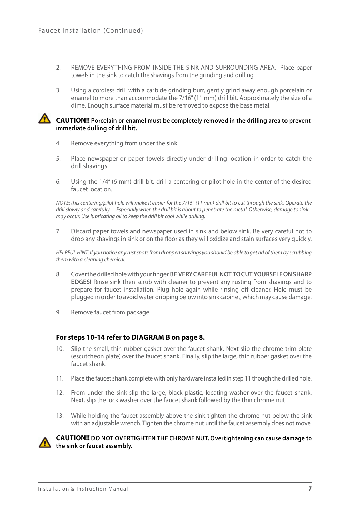- 2. REMOVE EVERYTHING FROM INSIDE THE SINK AND SURROUNDING AREA. Place paper towels in the sink to catch the shavings from the grinding and drilling.
- 3. Using a cordless drill with a carbide grinding burr, gently grind away enough porcelain or enamel to more than accommodate the 7/16" (11 mm) drill bit. Approximately the size of a dime. Enough surface material must be removed to expose the base metal.

#### **CAUTION!!** Porcelain or enamel must be completely removed in the drilling area to prevent **immediate dulling of drill bit.**

- 4. Remove everything from under the sink.
- 5. Place newspaper or paper towels directly under drilling location in order to catch the drill shavings.
- 6. Using the 1/4" (6 mm) drill bit, drill a centering or pilot hole in the center of the desired faucet location.

*NOTE: this centering/pilot hole will make it easier for the 7/16" (11 mm) drill bit to cut through the sink. Operate the drill slowly and carefully— Especially when the drill bit is about to penetrate the metal. Otherwise, damage to sink may occur. Use lubricating oil to keep the drill bit cool while drilling.*

7. Discard paper towels and newspaper used in sink and below sink. Be very careful not to drop any shavings in sink or on the floor as they will oxidize and stain surfaces very quickly.

*HELPFUL HINT: If you notice any rust spots from dropped shavings you should be able to get rid of them by scrubbing them with a cleaning chemical.*

- 8. Cover the drilled hole with your finger **BE VERY CAREFUL NOT TO CUT YOURSELF ON SHARP EDGES!** Rinse sink then scrub with cleaner to prevent any rusting from shavings and to prepare for faucet installation. Plug hole again while rinsing off cleaner. Hole must be plugged in order to avoid water dripping below into sink cabinet, which may cause damage.
- 9. Remove faucet from package.

#### **For steps 10-14 refer to DIAGRAM B on page 8.**

- 10. Slip the small, thin rubber gasket over the faucet shank. Next slip the chrome trim plate (escutcheon plate) over the faucet shank. Finally, slip the large, thin rubber gasket over the faucet shank.
- 11. Place the faucet shank complete with only hardware installed in step 11 though the drilled hole.
- 12. From under the sink slip the large, black plastic, locating washer over the faucet shank. Next, slip the lock washer over the faucet shank followed by the thin chrome nut.
- 13. While holding the faucet assembly above the sink tighten the chrome nut below the sink with an adjustable wrench. Tighten the chrome nut until the faucet assembly does not move.



#### **CAUTION!! DO NOT OVERTIGHTEN THE CHROME NUT. Overtightening can cause damage to the sink or faucet assembly.**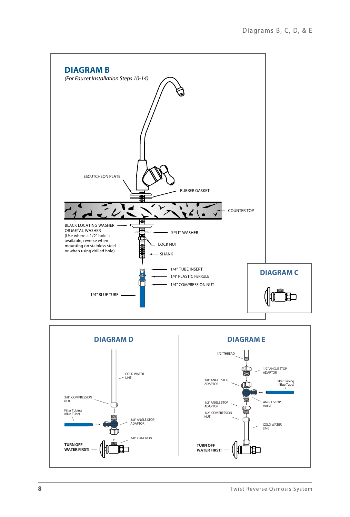

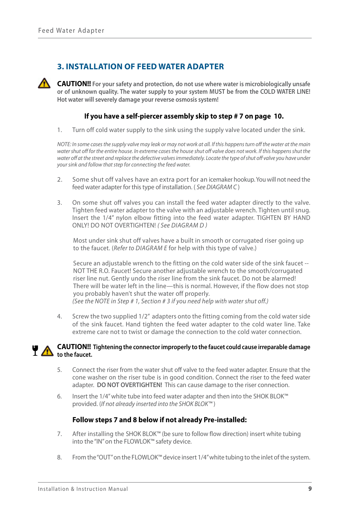## **3. INSTALLATION OF FEED WATER ADAPTER**

**CAUTION!!** For your safety and protection, do not use where water is microbiologically unsafe **or of unknown quality. The water supply to your system MUST be from the COLD WATER LINE! Hot water will severely damage your reverse osmosis system!**

## **If you have a self-piercer assembly skip to step # 7 on page 10.**

1. Turn off cold water supply to the sink using the supply valve located under the sink.

*NOTE: In some cases the supply valve may leak or may not work at all. If this happens turn off the water at the main water shut off for the entire house. In extreme cases the house shut off valve does not work. If this happens shut the*  water off at the street and replace the defective valves immediately. Locate the type of shut off valve you have under *your sink and follow that step for connecting the feed water.*

- 2. Some shut off valves have an extra port for an icemaker hookup. You will not need the feed water adapter for this type of installation. ( *See DIAGRAM C* )
- 3. On some shut off valves you can install the feed water adapter directly to the valve. Tighten feed water adapter to the valve with an adjustable wrench. Tighten until snug. Insert the 1/4" nylon elbow fitting into the feed water adapter. TIGHTEN BY HAND ONLY! DO NOT OVERTIGHTEN! *( See DIAGRAM D )*

Most under sink shut off valves have a built in smooth or corrugated riser going up to the faucet. (*Refer to DIAGRAM E* for help with this type of valve.)

Secure an adjustable wrench to the fitting on the cold water side of the sink faucet -- NOT THE R.O. Faucet! Secure another adjustable wrench to the smooth/corrugated riser line nut. Gently undo the riser line from the sink faucet. Do not be alarmed! There will be water left in the line—this is normal. However, if the flow does not stop you probably haven't shut the water off properly. *(See the NOTE in Step # 1, Section # 3 if you need help with water shut off.)*

4. Screw the two supplied 1/2" adapters onto the fitting coming from the cold water side of the sink faucet. Hand tighten the feed water adapter to the cold water line. Take extreme care not to twist or damage the connection to the cold water connection.

#### **CAUTION!! Tightening the connector improperly to the faucet could cause irreparable damage to the faucet.**

- 5. Connect the riser from the water shut off valve to the feed water adapter. Ensure that the cone washer on the riser tube is in good condition. Connect the riser to the feed water adapter. **DO NOT OVERTIGHTEN!** This can cause damage to the riser connection.
- 6. Insert the 1/4" white tube into feed water adapter and then into the SHOK BLOK™ provided. (*If not already inserted into the SHOK BLOK™* )

#### **Follow steps 7 and 8 below if not already Pre-installed:**

- 7. After installing the SHOK BLOK™ (be sure to follow flow direction) insert white tubing into the "IN" on the FLOWLOK™ safety device.
- 8. From the "OUT" on the FLOWLOK™ device insert 1/4" white tubing to the inlet of the system.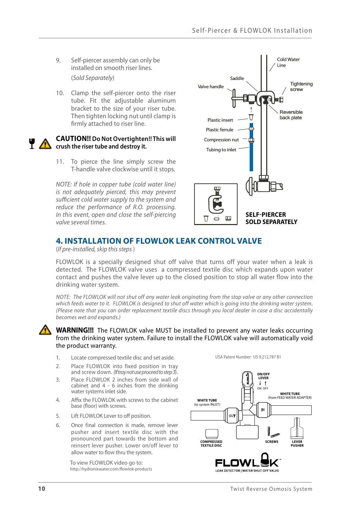- 9. Self-piercer assembly can only be installed on smooth riser lines. (*Sold Separately*)
- 10. Clamp the self-piercer onto the riser tube. Fit the adjustable aluminum bracket to the size of your riser tube. Then tighten locking nut until clamp is firmly attached to riser line.

#### **CAUTION!! Do Not Overtighten!! This will crush the riser tube and destroy it.**

11. To pierce the line simply screw the T-handle valve clockwise until it stops.

*NOTE: If hole in copper tube (cold water line) is not adequately pierced, this may prevent sufficient cold water supply to the system and reduce the performance of R.O. processing. In this event, open and close the self-piercing valve several times.*



# **4. INSTALLATION OF FLOWLOK LEAK CONTROL VALVE**

(*If pre-installed, skip this steps* )

FLOWLOK is a specially designed shut off valve that turns off your water when a leak is detected. The FLOWLOK valve uses a compressed textile disc which expands upon water contact and pushes the valve lever up to the closed position to stop all water flow into the drinking water system.

*NOTE: The FLOWLOK will not shut off any water leak originating from the stop valve or any other connection which feeds water to it. FLOWLOK is designed to shut off water which is going into the drinking water system*. *(Please note that you can order replacement textile discs through you local dealer in case a disc accidentally becomes wet and expands.)*

#### **WARNING!!!** The FLOWLOK valve MUST be installed to prevent any water leaks occurring from the drinking water system. Failure to install the FLOWLOK valve will automatically void the product warranty.

- 1. Locate compressed textile disc and set aside.
- 2. Place FLOWLOK into fixed position in tray and screw down. *(If tray not use proceed to step 3*).
- 3. Place FLOWLOK 2 inches from side wall of cabinet and 4 - 6 inches from the drinking water systems inlet side.
- 4. Affix the FLOWLOK with screws to the cabinet base (floor) with screws.
- 5. Lift FLOWLOK Lever to off position.
- 6. Once final connection is made, remove lever pusher and insert textile disc with the pronounced part towards the bottom and reinsert lever pusher. Lower on/off lever to allow water to flow thru the system.

To view FLOWLOK video go to: http://hydronixwater.com/flowlok-products



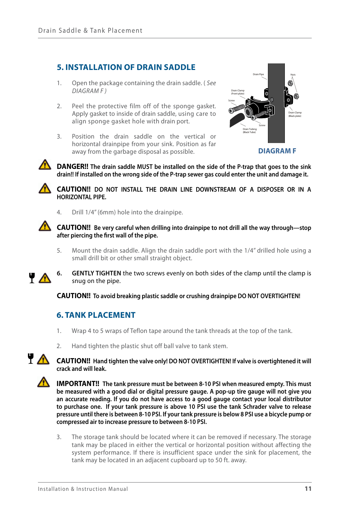## **5. INSTALLATION OF DRAIN SADDLE**

- 1. Open the package containing the drain saddle. ( *See DIAGRAM F )*
- 2. Peel the protective film off of the sponge gasket. Apply gasket to inside of drain saddle, using care to align sponge gasket hole with drain port.
- 3. Position the drain saddle on the vertical or horizontal drainpipe from your sink. Position as far away from the garbage disposal as possible.



**DIAGRAM F**

**1.** DANGER!! The drain saddle MUST be installed on the side of the P-trap that goes to the sink **drain!! If installed on the wrong side of the P-trap sewer gas could enter the unit and damage it.**



**CAUTION!! DO NOT INSTALL THE DRAIN LINE DOWNSTREAM OF A DISPOSER OR IN A HORIZONTAL PIPE.**

4. Drill 1/4" (6mm) hole into the drainpipe.

#### **CAUTION!! Be very careful when drilling into drainpipe to not drill all the way through—stop after piercing the first wall of the pipe.**

5. Mount the drain saddle. Align the drain saddle port with the 1/4" drilled hole using a small drill bit or other small straight object.



**6. GENTLY TIGHTEN** the two screws evenly on both sides of the clamp until the clamp is snug on the pipe.

**CAUTION!! To avoid breaking plastic saddle or crushing drainpipe DO NOT OVERTIGHTEN!**

## **6. TANK PLACEMENT**

- 1. Wrap 4 to 5 wraps of Teflon tape around the tank threads at the top of the tank.
- 2. Hand tighten the plastic shut off ball valve to tank stem.

#### **CAUTION!! Hand tighten the valve only! DO NOT OVERTIGHTEN! If valve is overtightened it will crack and will leak.**

**IMPORTANT!! The tank pressure must be between 8-10 PSI when measured empty. This must be measured with a good dial or digital pressure gauge. A pop-up tire gauge will not give you an accurate reading. If you do not have access to a good gauge contact your local distributor to purchase one. If your tank pressure is above 10 PSI use the tank Schrader valve to release pressure until there is between 8-10 PSI. If your tank pressure is below 8 PSI use a bicycle pump or compressed air to increase pressure to between 8-10 PSI.**

3. The storage tank should be located where it can be removed if necessary. The storage tank may be placed in either the vertical or horizontal position without affecting the system performance. If there is insufficient space under the sink for placement, the tank may be located in an adjacent cupboard up to 50 ft. away.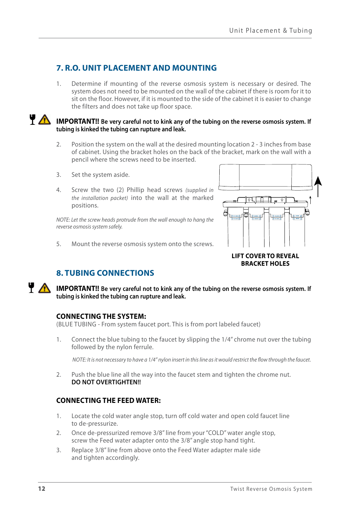## **7. R.O. UNIT PLACEMENT AND MOUNTING**

1. Determine if mounting of the reverse osmosis system is necessary or desired. The system does not need to be mounted on the wall of the cabinet if there is room for it to sit on the floor. However, if it is mounted to the side of the cabinet it is easier to change the filters and does not take up floor space.

**IMPORTANT!!** Be very careful not to kink any of the tubing on the reverse osmosis system. If **tubing is kinked the tubing can rupture and leak.**

- 2. Position the system on the wall at the desired mounting location 2 3 inches from base of cabinet. Using the bracket holes on the back of the bracket, mark on the wall with a pencil where the screws need to be inserted.
- 3. Set the system aside.
- 4. Screw the two (2) Phillip head screws *(supplied in the installation packet)* into the wall at the marked positions.

*NOTE: Let the screw heads protrude from the wall enough to hang the reverse osmosis system safely.*

5. Mount the reverse osmosis system onto the screws.



## **BRACKET HOLES**

# **8. TUBING CONNECTIONS**

**IMPORTANT!!** Be very careful not to kink any of the tubing on the reverse osmosis system. If **tubing is kinked the tubing can rupture and leak.**

## **CONNECTING THE SYSTEM:**

(BLUE TUBING - From system faucet port. This is from port labeled faucet)

1. Connect the blue tubing to the faucet by slipping the 1/4" chrome nut over the tubing followed by the nylon ferrule.

*NOTE: It is not necessary to have a 1/4" nylon insert in this line as it would restrict the flow through the faucet.*

2. Push the blue line all the way into the faucet stem and tighten the chrome nut. **DO NOT OVERTIGHTEN!!** 

## **CONNECTING THE FEED WATER:**

- 1. Locate the cold water angle stop, turn off cold water and open cold faucet line to de-pressurize.
- 2. Once de-pressurized remove 3/8" line from your "COLD" water angle stop, screw the Feed water adapter onto the 3/8" angle stop hand tight.
- 3. Replace 3/8" line from above onto the Feed Water adapter male side and tighten accordingly.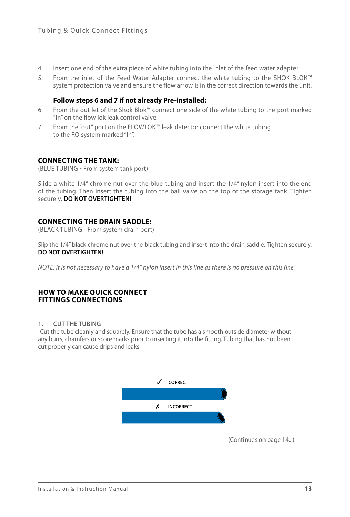- 4. Insert one end of the extra piece of white tubing into the inlet of the feed water adapter.
- 5. From the inlet of the Feed Water Adapter connect the white tubing to the SHOK BLOK*™* system protection valve and ensure the flow arrow is in the correct direction towards the unit.

#### **Follow steps 6 and 7 if not already Pre-installed:**

- 6. From the out let of the Shok Blok™ connect one side of the white tubing to the port marked "In" on the flow lok leak control valve.
- 7. From the "out" port on the FLOWLOK*™* leak detector connect the white tubing to the RO system marked "In".

### **CONNECTING THE TANK:**

(BLUE TUBING - From system tank port)

Slide a white 1/4" chrome nut over the blue tubing and insert the 1/4" nylon insert into the end of the tubing. Then insert the tubing into the ball valve on the top of the storage tank. Tighten securely. **DO NOT OVERTIGHTEN!**

### **CONNECTING THE DRAIN SADDLE:**

(BLACK TUBING - From system drain port)

Slip the 1/4" black chrome nut over the black tubing and insert into the drain saddle. Tighten securely. **DO NOT OVERTIGHTEN!**

*NOTE: It is not necessary to have a 1/4" nylon insert in this line as there is no pressure on this line.*

#### **HOW TO MAKE QUICK CONNECT FITTINGS CONNECTIONS**

#### **1. CUT THE TUBING**

-Cut the tube cleanly and squarely. Ensure that the tube has a smooth outside diameter without any burrs, chamfers or score marks prior to inserting it into the fitting. Tubing that has not been cut properly can cause drips and leaks.



(Continues on page 14...)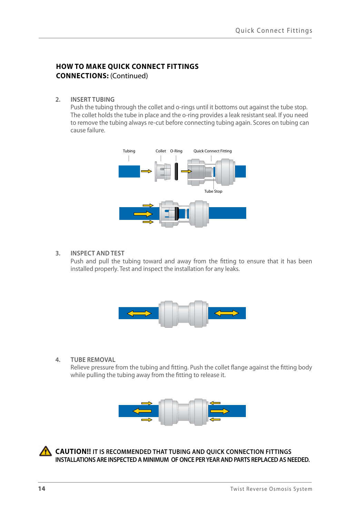## **HOW TO MAKE QUICK CONNECT FITTINGS CONNECTIONS:** (Continued)

**2. INSERT TUBING**

Push the tubing through the collet and o-rings until it bottoms out against the tube stop. The collet holds the tube in place and the o-ring provides a leak resistant seal. If you need to remove the tubing always re-cut before connecting tubing again. Scores on tubing can cause failure.



#### **3. INSPECT AND TEST**

Push and pull the tubing toward and away from the fitting to ensure that it has been installed properly. Test and inspect the installation for any leaks.



#### **4. TUBE REMOVAL**

Relieve pressure from the tubing and fitting. Push the collet flange against the fitting body while pulling the tubing away from the fitting to release it.



**CAUTION!! IT IS RECOMMENDED THAT TUBING AND QUICK CONNECTION FITTINGS INSTALLATIONS ARE INSPECTED A MINIMUM OF ONCE PER YEAR AND PARTS REPLACED AS NEEDED.**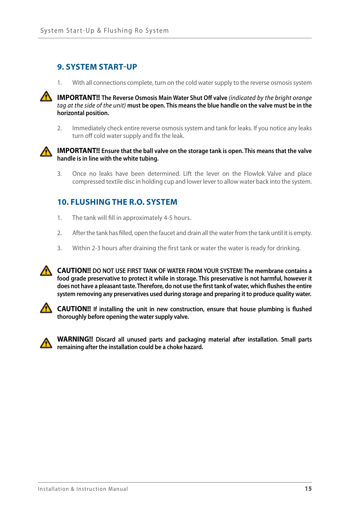## **9. SYSTEM START-UP**

1. With all connections complete, turn on the cold water supply to the reverse osmosis system



**IMPORTANT!!** The Reverse Osmosis Main Water Shut Off valve (indicated by the bright orange *tag at the side of the unit)* **must be open. This means the blue handle on the valve must be in the horizontal position.**

2. Immediately check entire reverse osmosis system and tank for leaks. If you notice any leaks turn off cold water supply and fix the leak.



#### **IMPORTANT!! Ensure that the ball valve on the storage tank is open. This means that the valve handle is in line with the white tubing.**

3. Once no leaks have been determined. Lift the lever on the Flowlok Valve and place compressed textile disc in holding cup and lower lever to allow water back into the system.

## **10. FLUSHING THE R.O. SYSTEM**

- 1. The tank will fill in approximately 4-5 hours.
- 2. After the tank has filled, open the faucet and drain all the water from the tank until it is empty.
- 3. Within 2-3 hours after draining the first tank or water the water is ready for drinking.



**CAUTION!! DO NOT USE FIRST TANK OF WATER FROM YOUR SYSTEM! The membrane contains a food grade preservative to protect it while in storage. This preservative is not harmful, however it does not have a pleasant taste. Therefore, do not use the first tank of water, which flushes the entire system removing any preservatives used during storage and preparing it to produce quality water.**



**CAUTION!! If installing the unit in new construction, ensure that house plumbing is flushed thoroughly before opening the water supply valve.**



**WARNING!! Discard all unused parts and packaging material after installation. Small parts remaining after the installation could be a choke hazard.**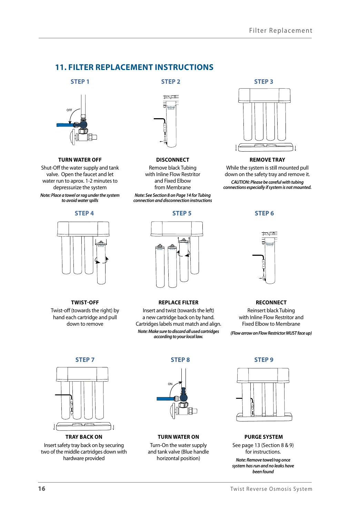## **11. FILTER REPLACEMENT INSTRUCTIONS**

**STEP 1**



#### **TURN WATER OFF**

Shut-Off the water supply and tank valve. Open the faucet and let water run to aprox. 1-2 minutes to depressurize the system *Note: Place a towel or rag under the system to avoid water spills*

#### **STEP 4**



**TWIST-OFF** Twist-off (towards the right) by hand each cartridge and pull down to remove

## **STEP 2**



#### **DISCONNECT** Remove black Tubing

with Inline Flow Restritor and Fixed Elbow from Membrane *Note: See Section 8 on Page 14 for Tubing* 

*connection and disconnection instructions*

#### **STEP 5**



#### **REMOVE TRAY**

While the system is still mounted pull down on the safety tray and remove it.

*CAUTION: Please be careful with tubing connections especially if system is not mounted.*

**STEP 6**



#### **RECONNECT**

Reinsert black Tubing with Inline Flow Restritor and Fixed Elbow to Membrane

*(Flow arrow on Flow Restrictor MUST face up)*

**STEP 7**



**TRAY BACK ON**

Insert safety tray back on by securing two of the middle cartridges down with hardware provided



**REPLACE FILTER** Insert and twist (towards the left) a new cartridge back on by hand. Cartridges labels must match and align. *Note: Make sure to discard all used cartridges according to your local law.* 

**TURN WATER ON**

Turn-On the water supply and tank valve (Blue handle horizontal position)

**STEP 9**



#### **PURGE SYSTEM**

See page 13 (Section 8 & 9) for instructions.

*Note: Remove towel/rag once system has run and no leaks have been found*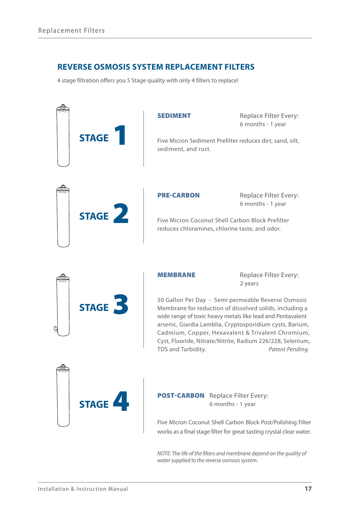## **REVERSE OSMOSIS SYSTEM REPLACEMENT FILTERS**

4 stage filtration offers you 5 Stage quality with only 4 filters to replace!



*NOTE: The life of the filters and membrane depend on the quality of water supplied to the reverse osmosis system.*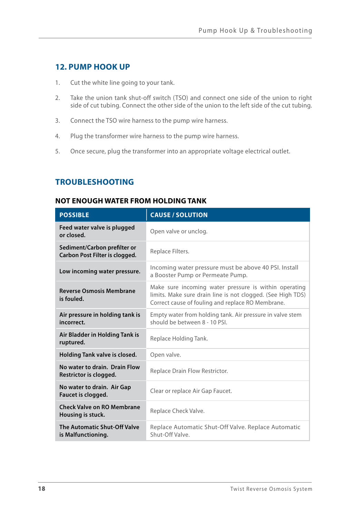## **12. PUMP HOOK UP**

- 1. Cut the white line going to your tank.
- 2. Take the union tank shut-off switch (TSO) and connect one side of the union to right side of cut tubing. Connect the other side of the union to the left side of the cut tubing.
- 3. Connect the TSO wire harness to the pump wire harness.
- 4. Plug the transformer wire harness to the pump wire harness.
- 5. Once secure, plug the transformer into an appropriate voltage electrical outlet.

# **TROUBLESHOOTING**

## **NOT ENOUGH WATER FROM HOLDING TANK**

| <b>POSSIBLE</b>                                                | <b>CAUSE / SOLUTION</b>                                                                                                                                                   |  |
|----------------------------------------------------------------|---------------------------------------------------------------------------------------------------------------------------------------------------------------------------|--|
| Feed water valve is plugged<br>or closed.                      | Open valve or unclog.                                                                                                                                                     |  |
| Sediment/Carbon prefilter or<br>Carbon Post Filter is clogged. | Replace Filters.                                                                                                                                                          |  |
| Low incoming water pressure.                                   | Incoming water pressure must be above 40 PSI. Install<br>a Booster Pump or Permeate Pump.                                                                                 |  |
| <b>Reverse Osmosis Membrane</b><br>is fouled.                  | Make sure incoming water pressure is within operating<br>limits. Make sure drain line is not clogged. (See High TDS)<br>Correct cause of fouling and replace RO Membrane. |  |
| Air pressure in holding tank is<br>incorrect.                  | Empty water from holding tank. Air pressure in valve stem<br>should be between 8 - 10 PSL                                                                                 |  |
| Air Bladder in Holding Tank is<br>ruptured.                    | Replace Holding Tank.                                                                                                                                                     |  |
| Holding Tank valve is closed.                                  | Open valve.                                                                                                                                                               |  |
| No water to drain. Drain Flow<br>Restrictor is clogged.        | Replace Drain Flow Restrictor.                                                                                                                                            |  |
| No water to drain. Air Gap<br>Faucet is clogged.               | Clear or replace Air Gap Faucet.                                                                                                                                          |  |
| <b>Check Valve on RO Membrane</b><br>Housing is stuck.         | Replace Check Valve.                                                                                                                                                      |  |
| The Automatic Shut-Off Valve<br>is Malfunctioning.             | Replace Automatic Shut-Off Valve. Replace Automatic<br>Shut-Off Valve.                                                                                                    |  |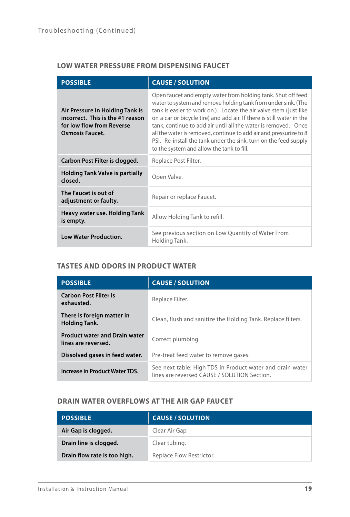## **LOW WATER PRESSURE FROM DISPENSING FAUCET**

| <b>POSSIBLE</b>                                                                                                            | <b>CAUSE / SOLUTION</b>                                                                                                                                                                                                                                                                                                                                                                                                                                                                                                            |  |
|----------------------------------------------------------------------------------------------------------------------------|------------------------------------------------------------------------------------------------------------------------------------------------------------------------------------------------------------------------------------------------------------------------------------------------------------------------------------------------------------------------------------------------------------------------------------------------------------------------------------------------------------------------------------|--|
| Air Pressure in Holding Tank is<br>incorrect. This is the #1 reason<br>for low flow from Reverse<br><b>Osmosis Faucet.</b> | Open faucet and empty water from holding tank. Shut off feed<br>water to system and remove holding tank from under sink. (The<br>tank is easier to work on.) Locate the air valve stem (just like<br>on a car or bicycle tire) and add air. If there is still water in the<br>tank, continue to add air until all the water is removed. Once<br>all the water is removed, continue to add air and pressurize to 8<br>PSI. Re-install the tank under the sink, turn on the feed supply<br>to the system and allow the tank to fill. |  |
| Carbon Post Filter is clogged.                                                                                             | Replace Post Filter.                                                                                                                                                                                                                                                                                                                                                                                                                                                                                                               |  |
| <b>Holding Tank Valve is partially</b><br>closed.                                                                          | Open Valve.                                                                                                                                                                                                                                                                                                                                                                                                                                                                                                                        |  |
| The Faucet is out of<br>adjustment or faulty.                                                                              | Repair or replace Faucet.                                                                                                                                                                                                                                                                                                                                                                                                                                                                                                          |  |
| Heavy water use. Holding Tank<br>is empty.                                                                                 | Allow Holding Tank to refill.                                                                                                                                                                                                                                                                                                                                                                                                                                                                                                      |  |
| <b>Low Water Production.</b>                                                                                               | See previous section on Low Quantity of Water From<br>Holding Tank.                                                                                                                                                                                                                                                                                                                                                                                                                                                                |  |

## **TASTES AND ODORS IN PRODUCT WATER**

| <b>POSSIBLE</b>                                             | <b>CAUSE / SOLUTION</b>                                                                                   |  |
|-------------------------------------------------------------|-----------------------------------------------------------------------------------------------------------|--|
| <b>Carbon Post Filter is</b><br>exhausted.                  | Replace Filter.                                                                                           |  |
| There is foreign matter in<br><b>Holding Tank.</b>          | Clean, flush and sanitize the Holding Tank. Replace filters.                                              |  |
| <b>Product water and Drain water</b><br>lines are reversed. | Correct plumbing.                                                                                         |  |
| Dissolved gases in feed water.                              | Pre-treat feed water to remove gases.                                                                     |  |
| Increase in Product Water TDS.                              | See next table: High TDS in Product water and drain water<br>lines are reversed CAUSE / SOLUTION Section. |  |

## **DRAIN WATER OVERFLOWS AT THE AIR GAP FAUCET**

| <b>POSSIBLE</b>              | <b>CAUSE / SOLUTION</b>  |
|------------------------------|--------------------------|
| Air Gap is clogged.          | Clear Air Gap            |
| Drain line is clogged.       | Clear tubing.            |
| Drain flow rate is too high. | Replace Flow Restrictor. |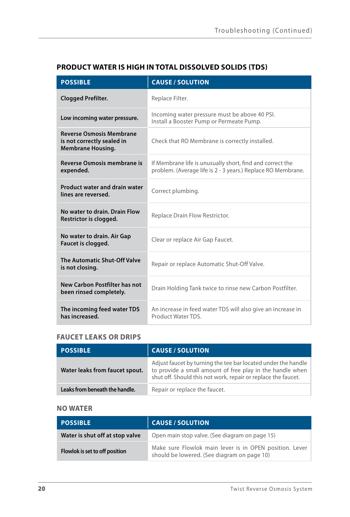| <b>POSSIBLE</b>                                                                           | <b>CAUSE / SOLUTION</b>                                                                                                   |  |
|-------------------------------------------------------------------------------------------|---------------------------------------------------------------------------------------------------------------------------|--|
| <b>Clogged Prefilter.</b>                                                                 | Replace Filter.                                                                                                           |  |
| Low incoming water pressure.                                                              | Incoming water pressure must be above 40 PSI.<br>Install a Booster Pump or Permeate Pump.                                 |  |
| <b>Reverse Osmosis Membrane</b><br>is not correctly sealed in<br><b>Membrane Housing.</b> | Check that RO Membrane is correctly installed.                                                                            |  |
| <b>Reverse Osmosis membrane is</b><br>expended.                                           | If Membrane life is unusually short, find and correct the<br>problem. (Average life is 2 - 3 years.) Replace RO Membrane. |  |
| <b>Product water and drain water</b><br>lines are reversed.                               | Correct plumbing.                                                                                                         |  |
| No water to drain. Drain Flow<br>Restrictor is clogged.                                   | Replace Drain Flow Restrictor.                                                                                            |  |
| No water to drain. Air Gap<br>Faucet is clogged.                                          | Clear or replace Air Gap Faucet.                                                                                          |  |
| The Automatic Shut-Off Valve<br>is not closing.                                           | Repair or replace Automatic Shut-Off Valve.                                                                               |  |
| New Carbon Postfilter has not<br>been rinsed completely.                                  | Drain Holding Tank twice to rinse new Carbon Postfilter.                                                                  |  |
| The incoming feed water TDS<br>has increased.                                             | An increase in feed water TDS will also give an increase in<br>Product Water TDS                                          |  |

# **PRODUCT WATER IS HIGH IN TOTAL DISSOLVED SOLIDS (TDS)**

## **FAUCET LEAKS OR DRIPS**

| <b>POSSIBLE</b>                | <b>CAUSE / SOLUTION</b>                                                                                                                                                                     |  |
|--------------------------------|---------------------------------------------------------------------------------------------------------------------------------------------------------------------------------------------|--|
| Water leaks from faucet spout. | Adjust faucet by turning the tee bar located under the handle<br>to provide a small amount of free play in the handle when<br>shut off. Should this not work, repair or replace the faucet. |  |
| Leaks from beneath the handle. | Repair or replace the faucet.                                                                                                                                                               |  |

## **NO WATER**

| <b>POSSIBLE</b>                 | <b>CAUSE / SOLUTION</b>                                                                                |  |
|---------------------------------|--------------------------------------------------------------------------------------------------------|--|
| Water is shut off at stop valve | Open main stop valve. (See diagram on page 15)                                                         |  |
| Flowlok is set to off position  | Make sure Flowlok main lever is in OPEN position. Lever<br>should be lowered. (See diagram on page 10) |  |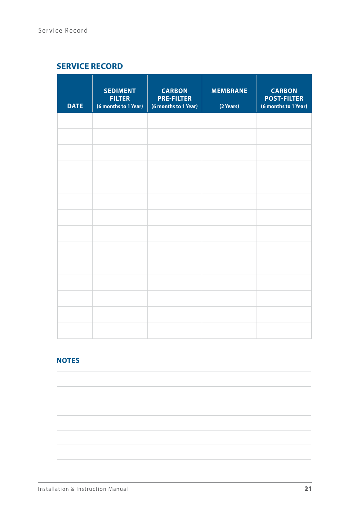## **SERVICE RECORD**

| <b>DATE</b> | <b>SEDIMENT</b><br><b>FILTER</b><br>(6 months to 1 Year) | <b>CARBON</b><br><b>PRE-FILTER</b><br>(6 months to 1 Year) | <b>MEMBRANE</b><br>(2 Years) | <b>CARBON</b><br><b>POST-FILTER</b><br>(6 months to 1 Year) |
|-------------|----------------------------------------------------------|------------------------------------------------------------|------------------------------|-------------------------------------------------------------|
|             |                                                          |                                                            |                              |                                                             |
|             |                                                          |                                                            |                              |                                                             |
|             |                                                          |                                                            |                              |                                                             |
|             |                                                          |                                                            |                              |                                                             |
|             |                                                          |                                                            |                              |                                                             |
|             |                                                          |                                                            |                              |                                                             |
|             |                                                          |                                                            |                              |                                                             |
|             |                                                          |                                                            |                              |                                                             |
|             |                                                          |                                                            |                              |                                                             |
|             |                                                          |                                                            |                              |                                                             |
|             |                                                          |                                                            |                              |                                                             |
|             |                                                          |                                                            |                              |                                                             |
|             |                                                          |                                                            |                              |                                                             |
|             |                                                          |                                                            |                              |                                                             |

# **NOTES**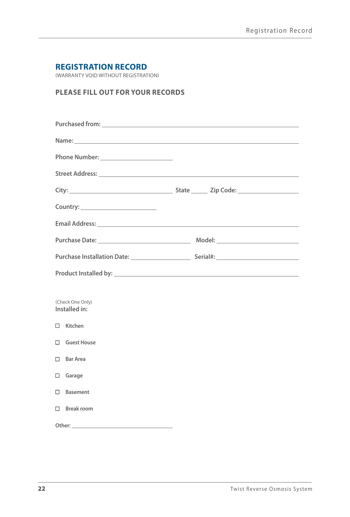## **REGISTRATION RECORD**

(WARRANTY VOID WITHOUT REGISTRATION)

## **PLEASE FILL OUT FOR YOUR RECORDS**

|                                                                                                                | Purchased from: <u>contract the contract of the contract of the contract of the contract of the contract of the contract of the contract of the contract of the contract of the contract of the contract of the contract of the </u> |
|----------------------------------------------------------------------------------------------------------------|--------------------------------------------------------------------------------------------------------------------------------------------------------------------------------------------------------------------------------------|
| Name: contract the contract of the contract of the contract of the contract of the contract of the contract of |                                                                                                                                                                                                                                      |
| Phone Number: _______________________                                                                          |                                                                                                                                                                                                                                      |
|                                                                                                                |                                                                                                                                                                                                                                      |
|                                                                                                                |                                                                                                                                                                                                                                      |
|                                                                                                                |                                                                                                                                                                                                                                      |
|                                                                                                                |                                                                                                                                                                                                                                      |
|                                                                                                                |                                                                                                                                                                                                                                      |
|                                                                                                                |                                                                                                                                                                                                                                      |
|                                                                                                                |                                                                                                                                                                                                                                      |
|                                                                                                                |                                                                                                                                                                                                                                      |
| (Check One Only)<br>Installed in:                                                                              |                                                                                                                                                                                                                                      |
| $\Box$ Kitchen                                                                                                 |                                                                                                                                                                                                                                      |
| □ Guest House                                                                                                  |                                                                                                                                                                                                                                      |
| $\Box$ Bar Area                                                                                                |                                                                                                                                                                                                                                      |
| $\Box$ Garage                                                                                                  |                                                                                                                                                                                                                                      |
| $\Box$ Basement                                                                                                |                                                                                                                                                                                                                                      |
| $\Box$ Break room                                                                                              |                                                                                                                                                                                                                                      |
|                                                                                                                |                                                                                                                                                                                                                                      |